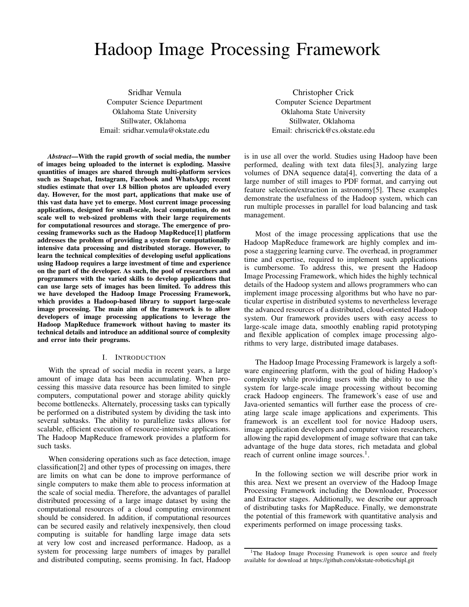# Hadoop Image Processing Framework

Sridhar Vemula Computer Science Department Oklahoma State University Stillwater, Oklahoma Email: sridhar.vemula@okstate.edu

*Abstract*—With the rapid growth of social media, the number of images being uploaded to the internet is exploding. Massive quantities of images are shared through multi-platform services such as Snapchat, Instagram, Facebook and WhatsApp; recent studies estimate that over 1.8 billion photos are uploaded every day. However, for the most part, applications that make use of this vast data have yet to emerge. Most current image processing applications, designed for small-scale, local computation, do not scale well to web-sized problems with their large requirements for computational resources and storage. The emergence of processing frameworks such as the Hadoop MapReduce[1] platform addresses the problem of providing a system for computationally intensive data processing and distributed storage. However, to learn the technical complexities of developing useful applications using Hadoop requires a large investment of time and experience on the part of the developer. As such, the pool of researchers and programmers with the varied skills to develop applications that can use large sets of images has been limited. To address this we have developed the Hadoop Image Processing Framework, which provides a Hadoop-based library to support large-scale image processing. The main aim of the framework is to allow developers of image processing applications to leverage the Hadoop MapReduce framework without having to master its technical details and introduce an additional source of complexity and error into their programs.

## I. INTRODUCTION

With the spread of social media in recent years, a large amount of image data has been accumulating. When processing this massive data resource has been limited to single computers, computational power and storage ability quickly become bottlenecks. Alternately, processing tasks can typically be performed on a distributed system by dividing the task into several subtasks. The ability to parallelize tasks allows for scalable, efficient execution of resource-intensive applications. The Hadoop MapReduce framework provides a platform for such tasks.

When considering operations such as face detection, image classification[2] and other types of processing on images, there are limits on what can be done to improve performance of single computers to make them able to process information at the scale of social media. Therefore, the advantages of parallel distributed processing of a large image dataset by using the computational resources of a cloud computing environment should be considered. In addition, if computational resources can be secured easily and relatively inexpensively, then cloud computing is suitable for handling large image data sets at very low cost and increased performance. Hadoop, as a system for processing large numbers of images by parallel and distributed computing, seems promising. In fact, Hadoop

Christopher Crick Computer Science Department Oklahoma State University Stillwater, Oklahoma Email: chriscrick@cs.okstate.edu

is in use all over the world. Studies using Hadoop have been performed, dealing with text data files[3], analyzing large volumes of DNA sequence data[4], converting the data of a large number of still images to PDF format, and carrying out feature selection/extraction in astronomy[5]. These examples demonstrate the usefulness of the Hadoop system, which can run multiple processes in parallel for load balancing and task management.

Most of the image processing applications that use the Hadoop MapReduce framework are highly complex and impose a staggering learning curve. The overhead, in programmer time and expertise, required to implement such applications is cumbersome. To address this, we present the Hadoop Image Processing Framework, which hides the highly technical details of the Hadoop system and allows programmers who can implement image processing algorithms but who have no particular expertise in distributed systems to nevertheless leverage the advanced resources of a distributed, cloud-oriented Hadoop system. Our framework provides users with easy access to large-scale image data, smoothly enabling rapid prototyping and flexible application of complex image processing algorithms to very large, distributed image databases.

The Hadoop Image Processing Framework is largely a software engineering platform, with the goal of hiding Hadoop's complexity while providing users with the ability to use the system for large-scale image processing without becoming crack Hadoop engineers. The framework's ease of use and Java-oriented semantics will further ease the process of creating large scale image applications and experiments. This framework is an excellent tool for novice Hadoop users, image application developers and computer vision researchers, allowing the rapid development of image software that can take advantage of the huge data stores, rich metadata and global reach of current online image sources.<sup>1</sup>.

In the following section we will describe prior work in this area. Next we present an overview of the Hadoop Image Processing Framework including the Downloader, Processor and Extractor stages. Additionally, we describe our approach of distributing tasks for MapReduce. Finally, we demonstrate the potential of this framework with quantitative analysis and experiments performed on image processing tasks.

<sup>&</sup>lt;sup>1</sup>The Hadoop Image Processing Framework is open source and freely available for download at https://github.com/okstate-robotics/hipl.git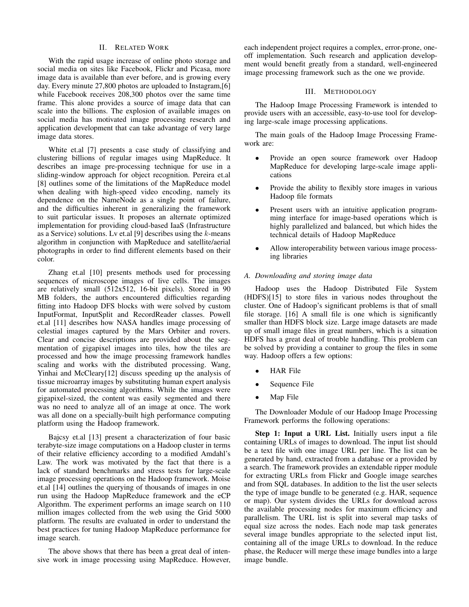## II. RELATED WORK

With the rapid usage increase of online photo storage and social media on sites like Facebook, Flickr and Picasa, more image data is available than ever before, and is growing every day. Every minute 27,800 photos are uploaded to Instagram,[6] while Facebook receives 208,300 photos over the same time frame. This alone provides a source of image data that can scale into the billions. The explosion of available images on social media has motivated image processing research and application development that can take advantage of very large image data stores.

White et.al [7] presents a case study of classifying and clustering billions of regular images using MapReduce. It describes an image pre-processing technique for use in a sliding-window approach for object recognition. Pereira et.al [8] outlines some of the limitations of the MapReduce model when dealing with high-speed video encoding, namely its dependence on the NameNode as a single point of failure, and the difficulties inherent in generalizing the framework to suit particular issues. It proposes an alternate optimized implementation for providing cloud-based IaaS (Infrastructure as a Service) solutions. Lv et.al [9] describes using the  $k$ -means algorithm in conjunction with MapReduce and satellite/aerial photographs in order to find different elements based on their color.

Zhang et.al [10] presents methods used for processing sequences of microscope images of live cells. The images are relatively small (512x512, 16-bit pixels). Stored in 90 MB folders, the authors encountered difficulties regarding fitting into Hadoop DFS blocks with were solved by custom InputFormat, InputSplit and RecordReader classes. Powell et.al [11] describes how NASA handles image processing of celestial images captured by the Mars Orbiter and rovers. Clear and concise descriptions are provided about the segmentation of gigapixel images into tiles, how the tiles are processed and how the image processing framework handles scaling and works with the distributed processing. Wang, Yinhai and McCleary[12] discuss speeding up the analysis of tissue microarray images by substituting human expert analysis for automated processing algorithms. While the images were gigapixel-sized, the content was easily segmented and there was no need to analyze all of an image at once. The work was all done on a specially-built high performance computing platform using the Hadoop framework.

Bajcsy et.al [13] present a characterization of four basic terabyte-size image computations on a Hadoop cluster in terms of their relative efficiency according to a modified Amdahl's Law. The work was motivated by the fact that there is a lack of standard benchmarks and stress tests for large-scale image processing operations on the Hadoop framework. Moise et.al [14] outlines the querying of thousands of images in one run using the Hadoop MapReduce framework and the eCP Algorithm. The experiment performs an image search on 110 million images collected from the web using the Grid 5000 platform. The results are evaluated in order to understand the best practices for tuning Hadoop MapReduce performance for image search.

The above shows that there has been a great deal of intensive work in image processing using MapReduce. However, each independent project requires a complex, error-prone, oneoff implementation. Such research and application development would benefit greatly from a standard, well-engineered image processing framework such as the one we provide.

## III. METHODOLOGY

The Hadoop Image Processing Framework is intended to provide users with an accessible, easy-to-use tool for developing large-scale image processing applications.

The main goals of the Hadoop Image Processing Framework are:

- Provide an open source framework over Hadoop MapReduce for developing large-scale image applications
- Provide the ability to flexibly store images in various Hadoop file formats
- Present users with an intuitive application programming interface for image-based operations which is highly parallelized and balanced, but which hides the technical details of Hadoop MapReduce
- Allow interoperability between various image processing libraries

## *A. Downloading and storing image data*

Hadoop uses the Hadoop Distributed File System (HDFS)[15] to store files in various nodes throughout the cluster. One of Hadoop's significant problems is that of small file storage. [16] A small file is one which is significantly smaller than HDFS block size. Large image datasets are made up of small image files in great numbers, which is a situation HDFS has a great deal of trouble handling. This problem can be solved by providing a container to group the files in some way. Hadoop offers a few options:

- HAR File
- Sequence File
- Map File

The Downloader Module of our Hadoop Image Processing Framework performs the following operations:

Step 1: Input a URL List. Initially users input a file containing URLs of images to download. The input list should be a text file with one image URL per line. The list can be generated by hand, extracted from a database or a provided by a search. The framework provides an extendable ripper module for extracting URLs from Flickr and Google image searches and from SQL databases. In addition to the list the user selects the type of image bundle to be generated (e.g. HAR, sequence or map). Our system divides the URLs for download across the available processing nodes for maximum efficiency and parallelism. The URL list is split into several map tasks of equal size across the nodes. Each node map task generates several image bundles appropriate to the selected input list, containing all of the image URLs to download. In the reduce phase, the Reducer will merge these image bundles into a large image bundle.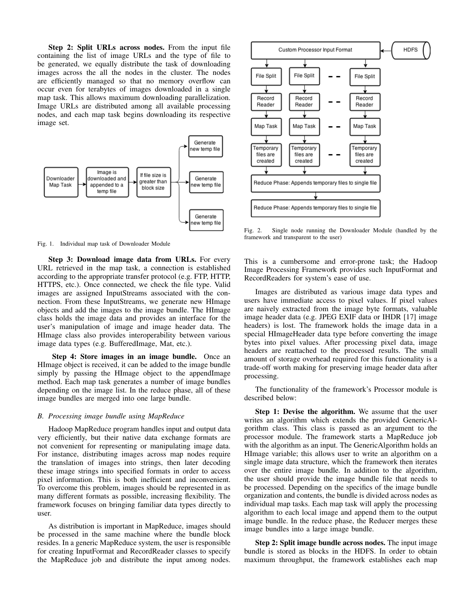Step 2: Split URLs across nodes. From the input file containing the list of image URLs and the type of file to be generated, we equally distribute the task of downloading images across the all the nodes in the cluster. The nodes are efficiently managed so that no memory overflow can occur even for terabytes of images downloaded in a single map task. This allows maximum downloading parallelization. Image URLs are distributed among all available processing nodes, and each map task begins downloading its respective image set.



Fig. 1. Individual map task of Downloader Module

Step 3: Download image data from URLs. For every URL retrieved in the map task, a connection is established according to the appropriate transfer protocol (e.g. FTP, HTTP, HTTPS, etc.). Once connected, we check the file type. Valid images are assigned InputStreams associated with the connection. From these InputStreams, we generate new HImage objects and add the images to the image bundle. The HImage class holds the image data and provides an interface for the user's manipulation of image and image header data. The HImage class also provides interoperability between various image data types (e.g. BufferedImage, Mat, etc.).

Step 4: Store images in an image bundle. Once an HImage object is received, it can be added to the image bundle simply by passing the HImage object to the appendImage method. Each map task generates a number of image bundles depending on the image list. In the reduce phase, all of these image bundles are merged into one large bundle.

## *B. Processing image bundle using MapReduce*

Hadoop MapReduce program handles input and output data very efficiently, but their native data exchange formats are not convenient for representing or manipulating image data. For instance, distributing images across map nodes require the translation of images into strings, then later decoding these image strings into specified formats in order to access pixel information. This is both inefficient and inconvenient. To overcome this problem, images should be represented in as many different formats as possible, increasing flexibility. The framework focuses on bringing familiar data types directly to user.

As distribution is important in MapReduce, images should be processed in the same machine where the bundle block resides. In a generic MapReduce system, the user is responsible for creating InputFormat and RecordReader classes to specify the MapReduce job and distribute the input among nodes.



Fig. 2. Single node running the Downloader Module (handled by the framework and transparent to the user)

This is a cumbersome and error-prone task; the Hadoop Image Processing Framework provides such InputFormat and RecordReaders for system's ease of use.

Images are distributed as various image data types and users have immediate access to pixel values. If pixel values are naively extracted from the image byte formats, valuable image header data (e.g. JPEG EXIF data or IHDR [17] image headers) is lost. The framework holds the image data in a special HImageHeader data type before converting the image bytes into pixel values. After processing pixel data, image headers are reattached to the processed results. The small amount of storage overhead required for this functionality is a trade-off worth making for preserving image header data after processing.

The functionality of the framework's Processor module is described below:

Step 1: Devise the algorithm. We assume that the user writes an algorithm which extends the provided GenericAlgorithm class. This class is passed as an argument to the processor module. The framework starts a MapReduce job with the algorithm as an input. The GenericAlgorithm holds an HImage variable; this allows user to write an algorithm on a single image data structure, which the framework then iterates over the entire image bundle. In addition to the algorithm, the user should provide the image bundle file that needs to be processed. Depending on the specifics of the image bundle organization and contents, the bundle is divided across nodes as individual map tasks. Each map task will apply the processing algorithm to each local image and append them to the output image bundle. In the reduce phase, the Reducer merges these image bundles into a large image bundle.

Step 2: Split image bundle across nodes. The input image bundle is stored as blocks in the HDFS. In order to obtain maximum throughput, the framework establishes each map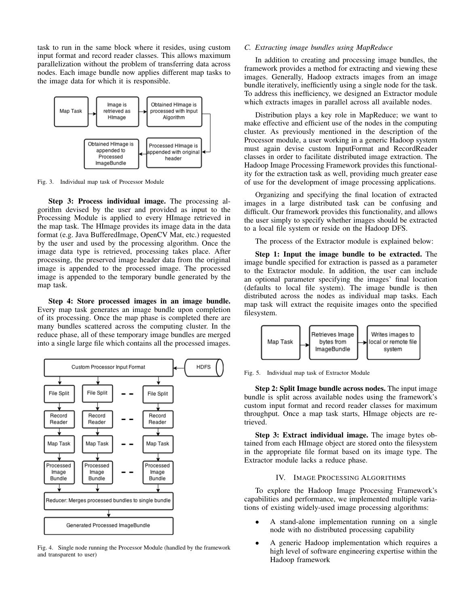task to run in the same block where it resides, using custom input format and record reader classes. This allows maximum parallelization without the problem of transferring data across nodes. Each image bundle now applies different map tasks to the image data for which it is responsible.



Fig. 3. Individual map task of Processor Module

Step 3: Process individual image. The processing algorithm devised by the user and provided as input to the Processing Module is applied to every HImage retrieved in the map task. The HImage provides its image data in the data format (e.g. Java BufferedImage, OpenCV Mat, etc.) requested by the user and used by the processing algorithm. Once the image data type is retrieved, processing takes place. After processing, the preserved image header data from the original image is appended to the processed image. The processed image is appended to the temporary bundle generated by the map task.

Step 4: Store processed images in an image bundle. Every map task generates an image bundle upon completion of its processing. Once the map phase is completed there are many bundles scattered across the computing cluster. In the reduce phase, all of these temporary image bundles are merged into a single large file which contains all the processed images.



Fig. 4. Single node running the Processor Module (handled by the framework and transparent to user)

# *C. Extracting image bundles using MapReduce*

In addition to creating and processing image bundles, the framework provides a method for extracting and viewing these images. Generally, Hadoop extracts images from an image bundle iteratively, inefficiently using a single node for the task. To address this inefficiency, we designed an Extractor module which extracts images in parallel across all available nodes.

Distribution plays a key role in MapReduce; we want to make effective and efficient use of the nodes in the computing cluster. As previously mentioned in the description of the Processor module, a user working in a generic Hadoop system must again devise custom InputFormat and RecordReader classes in order to facilitate distributed image extraction. The Hadoop Image Processing Framework provides this functionality for the extraction task as well, providing much greater ease of use for the development of image processing applications.

Organizing and specifying the final location of extracted images in a large distributed task can be confusing and difficult. Our framework provides this functionality, and allows the user simply to specify whether images should be extracted to a local file system or reside on the Hadoop DFS.

The process of the Extractor module is explained below:

Step 1: Input the image bundle to be extracted. The image bundle specified for extraction is passed as a parameter to the Extractor module. In addition, the user can include an optional parameter specifying the images' final location (defaults to local file system). The image bundle is then distributed across the nodes as individual map tasks. Each map task will extract the requisite images onto the specified filesystem.



Fig. 5. Individual map task of Extractor Module

Step 2: Split Image bundle across nodes. The input image bundle is split across available nodes using the framework's custom input format and record reader classes for maximum throughput. Once a map task starts, HImage objects are retrieved.

Step 3: Extract individual image. The image bytes obtained from each HImage object are stored onto the filesystem in the appropriate file format based on its image type. The Extractor module lacks a reduce phase.

## IV. IMAGE PROCESSING ALGORITHMS

To explore the Hadoop Image Processing Framework's capabilities and performance, we implemented multiple variations of existing widely-used image processing algorithms:

- A stand-alone implementation running on a single node with no distributed processing capability
- A generic Hadoop implementation which requires a high level of software engineering expertise within the Hadoop framework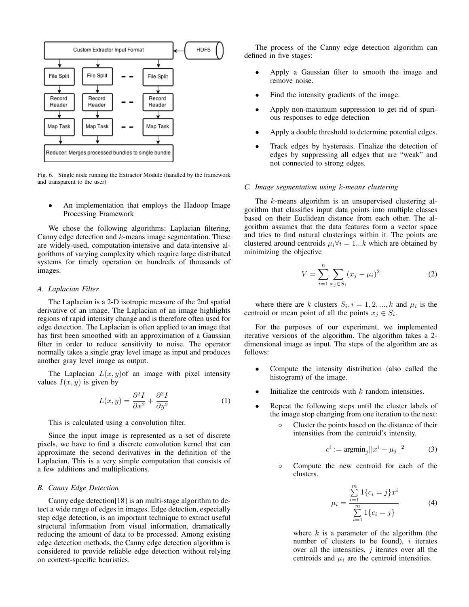

Fig. 6. Single node running the Extractor Module (handled by the framework and transparent to the user)

An implementation that employs the Hadoop Image Processing Framework

We chose the following algorithms: Laplacian filtering, Canny edge detection and  $k$ -means image segmentation. These are widely-used, computation-intensive and data-intensive algorithms of varying complexity which require large distributed systems for timely operation on hundreds of thousands of images.

#### *A. Laplacian Filter*

The Laplacian is a 2-D isotropic measure of the 2nd spatial derivative of an image. The Laplacian of an image highlights regions of rapid intensity change and is therefore often used for edge detection. The Laplacian is often applied to an image that has first been smoothed with an approximation of a Gaussian filter in order to reduce sensitivity to noise. The operator normally takes a single gray level image as input and produces another gray level image as output.

The Laplacian  $L(x, y)$  of an image with pixel intensity values  $I(x, y)$  is given by

$$
L(x,y) = \frac{\partial^2 I}{\partial x^2} + \frac{\partial^2 I}{\partial y^2}
$$
 (1)

This is calculated using a convolution filter.

Since the input image is represented as a set of discrete pixels, we have to find a discrete convolution kernel that can approximate the second derivatives in the definition of the Laplacian. This is a very simple computation that consists of a few additions and multiplications.

## *B. Canny Edge Detection*

Canny edge detection[18] is an multi-stage algorithm to detect a wide range of edges in images. Edge detection, especially step edge detection, is an important technique to extract useful structural information from visual information, dramatically reducing the amount of data to be processed. Among existing edge detection methods, the Canny edge detection algorithm is considered to provide reliable edge detection without relying on context-specific heuristics.

The process of the Canny edge detection algorithm can defined in five stages:

- Apply a Gaussian filter to smooth the image and remove noise.
- Find the intensity gradients of the image.
- Apply non-maximum suppression to get rid of spurious responses to edge detection
- Apply a double threshold to determine potential edges.
- Track edges by hysteresis. Finalize the detection of edges by suppressing all edges that are "weak" and not connected to strong edges.

#### *C. Image segmentation using* k*-means clustering*

The *k*-means algorithm is an unsupervised clustering algorithm that classifies input data points into multiple classes based on their Euclidean distance from each other. The algorithm assumes that the data features form a vector space and tries to find natural clusterings within it. The points are clustered around centroids  $\mu_i \forall i = 1...k$  which are obtained by minimizing the objective

$$
V = \sum_{i=1}^{n} \sum_{x_j \in S_i} (x_j - \mu_i)^2
$$
 (2)

where there are k clusters  $S_i$ ,  $i = 1, 2, ..., k$  and  $\mu_i$  is the centroid or mean point of all the points  $x_j \in S_i$ .

For the purposes of our experiment, we implemented iterative versions of the algorithm. The algorithm takes a 2 dimensional image as input. The steps of the algorithm are as follows:

- Compute the intensity distribution (also called the histogram) of the image.
- Initialize the centroids with  $k$  random intensities.
- Repeat the following steps until the cluster labels of the image stop changing from one iteration to the next:
	- Cluster the points based on the distance of their intensities from the centroid's intensity.

$$
c^i := \operatorname{argmin}_j ||x^i - \mu_j||^2 \tag{3}
$$

◦ Compute the new centroid for each of the clusters.

$$
\mu_i = \frac{\sum_{i=1}^{m} 1\{c_i = j\} x^i}{\sum_{i=1}^{m} 1\{c_i = j\}}
$$
(4)

where  $k$  is a parameter of the algorithm (the number of clusters to be found),  $i$  iterates over all the intensities,  $j$  iterates over all the centroids and  $\mu_i$  are the centroid intensities.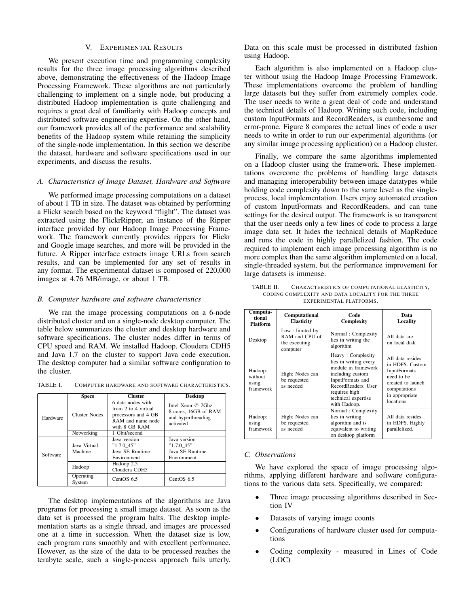## V. EXPERIMENTAL RESULTS

We present execution time and programming complexity results for the three image processing algorithms described above, demonstrating the effectiveness of the Hadoop Image Processing Framework. These algorithms are not particularly challenging to implement on a single node, but producing a distributed Hadoop implementation is quite challenging and requires a great deal of familiarity with Hadoop concepts and distributed software engineering expertise. On the other hand, our framework provides all of the performance and scalability benefits of the Hadoop system while retaining the simplicity of the single-node implementation. In this section we describe the dataset, hardware and software specifications used in our experiments, and discuss the results.

## *A. Characteristics of Image Dataset, Hardware and Software*

We performed image processing computations on a dataset of about 1 TB in size. The dataset was obtained by performing a Flickr search based on the keyword "flight". The dataset was extracted using the FlickrRipper, an instance of the Ripper interface provided by our Hadoop Image Processing Framework. The framework currently provides rippers for Flickr and Google image searches, and more will be provided in the future. A Ripper interface extracts image URLs from search results, and can be implemented for any set of results in any format. The experimental dataset is composed of 220,000 images at 4.76 MB/image, or about 1 TB.

#### *B. Computer hardware and software characteristics*

We ran the image processing computations on a 6-node distributed cluster and on a single-node desktop computer. The table below summarizes the cluster and desktop hardware and software specifications. The cluster nodes differ in terms of CPU speed and RAM. We installed Hadoop, Cloudera CDH5 and Java 1.7 on the cluster to support Java code execution. The desktop computer had a similar software configuration to the cluster.

TABLE I. COMPUTER HARDWARE AND SOFTWARE CHARACTERISTICS.

|          | <b>Specs</b>        | <b>Cluster</b>                                                                                        | <b>Desktop</b>                                                               |
|----------|---------------------|-------------------------------------------------------------------------------------------------------|------------------------------------------------------------------------------|
| Hardware | Cluster Nodes       | 6 data nodes with<br>from 2 to 4 virtual<br>processors and 4 GB<br>RAM and name node<br>with 8 GB RAM | Intel Xeon @ 2Ghz<br>8 cores, 16GB of RAM<br>and hyperthreading<br>activated |
|          | Networking          | 1 Gbit/second                                                                                         |                                                                              |
| Software | Java Virtual        | Java version<br>$"1.7.0$ 45"                                                                          | Java version<br>$"1.7.0$ 45"                                                 |
|          | Machine             | Java SE Runtime<br>Environment                                                                        | Java SE Runtime<br>Environment                                               |
|          | Hadoop              | Hadoop 2.5<br>Cloudera CDH5                                                                           |                                                                              |
|          | Operating<br>System | Cent $OS$ 6.5                                                                                         | Cent $OS$ 6.5                                                                |

The desktop implementations of the algorithms are Java programs for processing a small image dataset. As soon as the data set is processed the program halts. The desktop implementation starts as a single thread, and images are processed one at a time in succession. When the dataset size is low, each program runs smoothly and with excellent performance. However, as the size of the data to be processed reaches the terabyte scale, such a single-process approach fails utterly. Data on this scale must be processed in distributed fashion using Hadoop.

Each algorithm is also implemented on a Hadoop cluster without using the Hadoop Image Processing Framework. These implementations overcome the problem of handling large datasets but they suffer from extremely complex code. The user needs to write a great deal of code and understand the technical details of Hadoop. Writing such code, including custom InputFormats and RecordReaders, is cumbersome and error-prone. Figure 8 compares the actual lines of code a user needs to write in order to run our experimental algorithms (or any similar image processing application) on a Hadoop cluster.

Finally, we compare the same algorithms implemented on a Hadoop cluster using the framework. These implementations overcome the problems of handling large datasets and managing interoperability between image datatypes while holding code complexity down to the same level as the singleprocess, local implementation. Users enjoy automated creation of custom InputFormats and RecordReaders, and can tune settings for the desired output. The framework is so transparent that the user needs only a few lines of code to process a large image data set. It hides the technical details of MapReduce and runs the code in highly parallelized fashion. The code required to implement each image processing algorithm is no more complex than the same algorithm implemented on a local, single-threaded system, but the performance improvement for large datasets is immense.

| TABLE II. | CHARACTERISTICS OF COMPUTATIONAL ELASTICITY,      |
|-----------|---------------------------------------------------|
|           | CODING COMPLEXITY AND DATA LOCALITY FOR THE THREE |
|           | EXPERIMENTAL PLATFORMS.                           |

| Computa-<br>tional<br><b>Platform</b>    | Computational<br><b>Elasticity</b>                             | Code<br>Complexity                                                                                                                                                                       | Data<br>Locality                                                                                                                             |
|------------------------------------------|----------------------------------------------------------------|------------------------------------------------------------------------------------------------------------------------------------------------------------------------------------------|----------------------------------------------------------------------------------------------------------------------------------------------|
| Desktop                                  | Low: limited by<br>RAM and CPU of<br>the executing<br>computer | Normal: Complexity<br>lies in writing the<br>algorithm                                                                                                                                   | All data are<br>on local disk                                                                                                                |
| Hadoop:<br>without<br>using<br>framework | High: Nodes can<br>be requested<br>as needed                   | Heavy: Complexity<br>lies in writing every<br>module in framework<br>including custom<br>InputFormats and<br>RecordReaders. User<br>requires high<br>technical expertise<br>with Hadoop. | All data resides<br>in HDFS. Custom<br><b>InputFormats</b><br>need to be<br>created to launch<br>computations<br>in appropriate<br>locations |
| Hadoop:<br>using<br>framework            | High: Nodes can<br>be requested<br>as needed                   | Normal: Complexity<br>lies in writing<br>algorithm and is<br>equivalent to writing<br>on desktop platform                                                                                | All data resides<br>in HDFS. Highly<br>parallelized.                                                                                         |

#### *C. Observations*

We have explored the space of image processing algorithms, applying different hardware and software configurations to the various data sets. Specifically, we compared:

- Three image processing algorithms described in Section IV
- Datasets of varying image counts
- Configurations of hardware cluster used for computations
- Coding complexity measured in Lines of Code (LOC)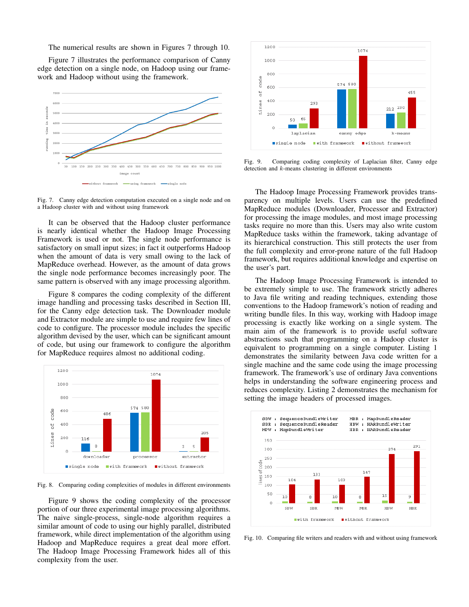The numerical results are shown in Figures 7 through 10.

Figure 7 illustrates the performance comparison of Canny edge detection on a single node, on Hadoop using our framework and Hadoop without using the framework.



Fig. 7. Canny edge detection computation executed on a single node and on a Hadoop cluster with and without using framework

It can be observed that the Hadoop cluster performance is nearly identical whether the Hadoop Image Processing Framework is used or not. The single node performance is satisfactory on small input sizes; in fact it outperforms Hadoop when the amount of data is very small owing to the lack of MapReduce overhead. However, as the amount of data grows the single node performance becomes increasingly poor. The same pattern is observed with any image processing algorithm.

Figure 8 compares the coding complexity of the different image handling and processing tasks described in Section III, for the Canny edge detection task. The Downloader module and Extractor module are simple to use and require few lines of code to configure. The processor module includes the specific algorithm devised by the user, which can be significant amount of code, but using our framework to configure the algorithm for MapReduce requires almost no additional coding.



Fig. 8. Comparing coding complexities of modules in different environments

Figure 9 shows the coding complexity of the processor portion of our three experimental image processing algorithms. The naive single-process, single-node algorithm requires a similar amount of code to using our highly parallel, distributed framework, while direct implementation of the algorithm using Hadoop and MapReduce requires a great deal more effort. The Hadoop Image Processing Framework hides all of this complexity from the user.



Fig. 9. Comparing coding complexity of Laplacian filter, Canny edge detection and k-means clustering in different environments

The Hadoop Image Processing Framework provides transparency on multiple levels. Users can use the predefined MapReduce modules (Downloader, Processor and Extractor) for processing the image modules, and most image processing tasks require no more than this. Users may also write custom MapReduce tasks within the framework, taking advantage of its hierarchical construction. This still protects the user from the full complexity and error-prone nature of the full Hadoop framework, but requires additional knowledge and expertise on the user's part.

The Hadoop Image Processing Framework is intended to be extremely simple to use. The framework strictly adheres to Java file writing and reading techniques, extending those conventions to the Hadoop framework's notion of reading and writing bundle files. In this way, working with Hadoop image processing is exactly like working on a single system. The main aim of the framework is to provide useful software abstractions such that programming on a Hadoop cluster is equivalent to programming on a single computer. Listing 1 demonstrates the similarity between Java code written for a single machine and the same code using the image processing framework. The framework's use of ordinary Java conventions helps in understanding the software engineering process and reduces complexity. Listing 2 demonstrates the mechanism for setting the image headers of processed images.



Fig. 10. Comparing file writers and readers with and without using framework